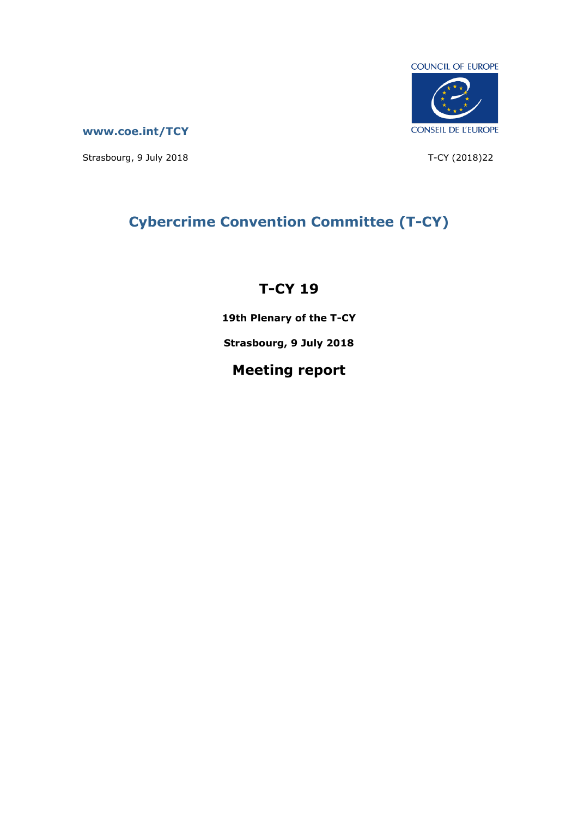

**[www.coe.int/TCY](http://www.coe.int/TCY)**

Strasbourg, 9 July 2018 T-CY (2018)22

# **Cybercrime Convention Committee (T-CY)**

# **T-CY 19**

**19th Plenary of the T-CY**

**Strasbourg, 9 July 2018**

# **Meeting report**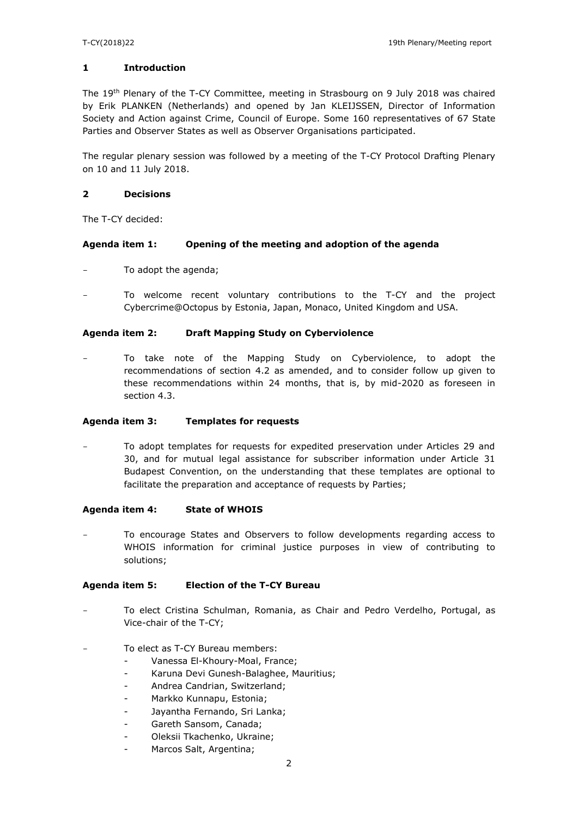### **1 Introduction**

The 19<sup>th</sup> Plenary of the T-CY Committee, meeting in Strasbourg on 9 July 2018 was chaired by Erik PLANKEN (Netherlands) and opened by Jan KLEIJSSEN, Director of Information Society and Action against Crime, Council of Europe. Some 160 representatives of 67 State Parties and Observer States as well as Observer Organisations participated.

The regular plenary session was followed by a meeting of the T-CY Protocol Drafting Plenary on 10 and 11 July 2018.

### **2 Decisions**

The T-CY decided:

#### **Agenda item 1: Opening of the meeting and adoption of the agenda**

- To adopt the agenda;
- To welcome recent voluntary contributions to the T-CY and the project Cybercrime@Octopus by Estonia, Japan, Monaco, United Kingdom and USA.

#### **Agenda item 2: Draft Mapping Study on Cyberviolence**

To take note of the Mapping Study on Cyberviolence, to adopt the recommendations of section 4.2 as amended, and to consider follow up given to these recommendations within 24 months, that is, by mid-2020 as foreseen in section 4.3.

### **Agenda item 3: Templates for requests**

To adopt templates for requests for expedited preservation under Articles 29 and 30, and for mutual legal assistance for subscriber information under Article 31 Budapest Convention, on the understanding that these templates are optional to facilitate the preparation and acceptance of requests by Parties;

#### **Agenda item 4: State of WHOIS**

To encourage States and Observers to follow developments regarding access to WHOIS information for criminal justice purposes in view of contributing to solutions;

#### **Agenda item 5: Election of the T-CY Bureau**

- To elect Cristina Schulman, Romania, as Chair and Pedro Verdelho, Portugal, as Vice-chair of the T-CY;
- To elect as T-CY Bureau members:
	- Vanessa El-Khoury-Moal, France;
	- Karuna Devi Gunesh-Balaghee, Mauritius;
	- Andrea Candrian, Switzerland;
	- Markko Kunnapu, Estonia;
	- Jayantha Fernando, Sri Lanka;
	- Gareth Sansom, Canada;
	- Oleksii Tkachenko, Ukraine;
	- Marcos Salt, Argentina;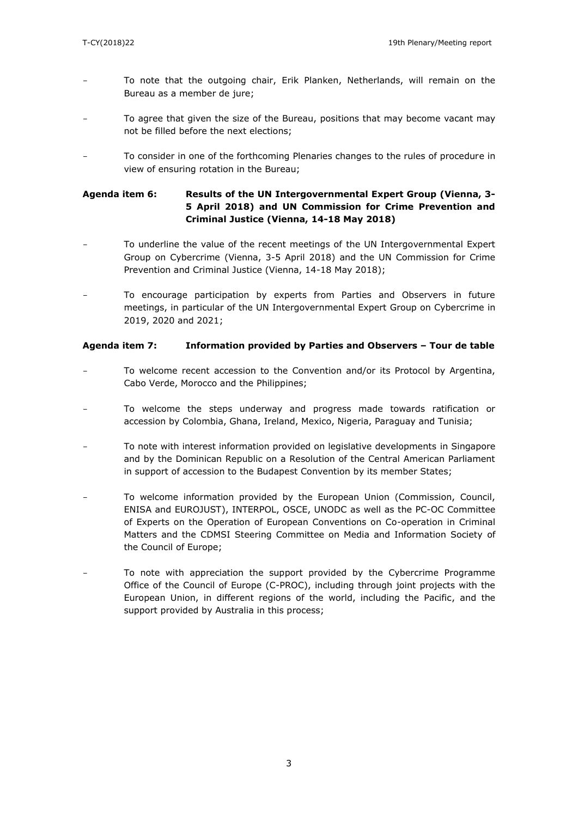- To note that the outgoing chair, Erik Planken, Netherlands, will remain on the Bureau as a member de jure;
- To agree that given the size of the Bureau, positions that may become vacant may not be filled before the next elections;
- To consider in one of the forthcoming Plenaries changes to the rules of procedure in view of ensuring rotation in the Bureau;

## **Agenda item 6: Results of the UN Intergovernmental Expert Group (Vienna, 3- 5 April 2018) and UN Commission for Crime Prevention and Criminal Justice (Vienna, 14-18 May 2018)**

- To underline the value of the recent meetings of the UN Intergovernmental Expert Group on Cybercrime (Vienna, 3-5 April 2018) and the UN Commission for Crime Prevention and Criminal Justice (Vienna, 14-18 May 2018);
- To encourage participation by experts from Parties and Observers in future meetings, in particular of the UN Intergovernmental Expert Group on Cybercrime in 2019, 2020 and 2021;

### **Agenda item 7: Information provided by Parties and Observers – Tour de table**

- To welcome recent accession to the Convention and/or its Protocol by Argentina, Cabo Verde, Morocco and the Philippines;
- To welcome the steps underway and progress made towards ratification or accession by Colombia, Ghana, Ireland, Mexico, Nigeria, Paraguay and Tunisia;
- To note with interest information provided on legislative developments in Singapore and by the Dominican Republic on a Resolution of the Central American Parliament in support of accession to the Budapest Convention by its member States;
- To welcome information provided by the European Union (Commission, Council, ENISA and EUROJUST), INTERPOL, OSCE, UNODC as well as the PC-OC Committee of Experts on the Operation of European Conventions on Co-operation in Criminal Matters and the CDMSI Steering Committee on Media and Information Society of the Council of Europe;
- To note with appreciation the support provided by the Cybercrime Programme Office of the Council of Europe (C-PROC), including through joint projects with the European Union, in different regions of the world, including the Pacific, and the support provided by Australia in this process;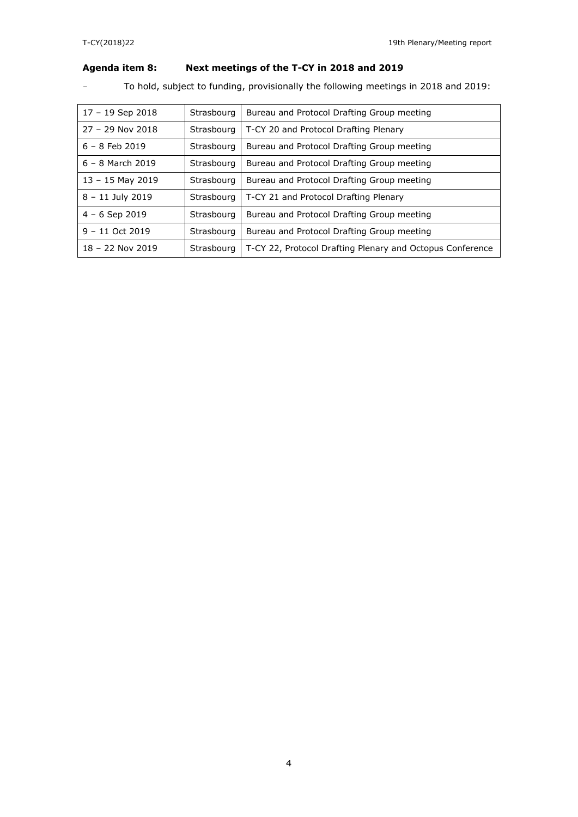## **Agenda item 8: Next meetings of the T-CY in 2018 and 2019**

- To hold, subject to funding, provisionally the following meetings in 2018 and 2019:

| $17 - 19$ Sep 2018 | Strasbourg | Bureau and Protocol Drafting Group meeting                |
|--------------------|------------|-----------------------------------------------------------|
| $27 - 29$ Nov 2018 | Strasbourg | T-CY 20 and Protocol Drafting Plenary                     |
| $6 - 8$ Feb 2019   | Strasbourg | Bureau and Protocol Drafting Group meeting                |
| $6 - 8$ March 2019 | Strasbourg | Bureau and Protocol Drafting Group meeting                |
| $13 - 15$ May 2019 | Strasbourg | Bureau and Protocol Drafting Group meeting                |
| $8 - 11$ July 2019 | Strasbourg | T-CY 21 and Protocol Drafting Plenary                     |
| $4 - 6$ Sep 2019   | Strasbourg | Bureau and Protocol Drafting Group meeting                |
| $9 - 11$ Oct 2019  | Strasbourg | Bureau and Protocol Drafting Group meeting                |
| 18 - 22 Nov 2019   | Strasbourg | T-CY 22, Protocol Drafting Plenary and Octopus Conference |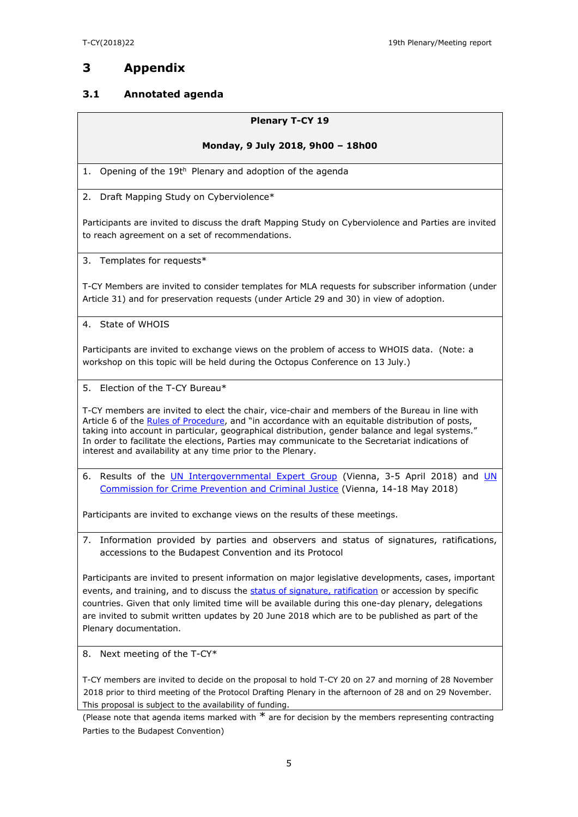## **3 Appendix**

## **3.1 Annotated agenda**

### **Plenary T-CY 19**

### **Monday, 9 July 2018, 9h00 – 18h00**

1. Opening of the 19th Plenary and adoption of the agenda

2. Draft Mapping Study on Cyberviolence\*

Participants are invited to discuss the draft Mapping Study on Cyberviolence and Parties are invited to reach agreement on a set of recommendations.

3. Templates for requests\*

T-CY Members are invited to consider templates for MLA requests for subscriber information (under Article 31) and for preservation requests (under Article 29 and 30) in view of adoption.

4. State of WHOIS

Participants are invited to exchange views on the problem of access to WHOIS data. (Note: a workshop on this topic will be held during the Octopus Conference on 13 July.)

5. Election of the T-CY Bureau\*

T-CY members are invited to elect the chair, vice-chair and members of the Bureau in line with TECT INCITED AT EXITY OF EXECUTIVE CHAIN, THE CHAIN CHAING INCIDENCE TO THE ATTENTS OF POSTS, taking into account in particular, geographical distribution, gender balance and legal systems." In order to facilitate the elections, Parties may communicate to the Secretariat indications of interest and availability at any time prior to the Plenary.

6. Results of the [UN Intergovernmental Expert Group](http://www.unodc.org/unodc/en/organized-crime/open-ended-intergovernmental-expert-group-to-conduct-a-comprehensive-study-of-the-problem-of-cybercrime2018.html) (Vienna, 3-5 April 2018) and [UN](http://www.unodc.org/unodc/en/commissions/CCPCJ/session/27_Session_2018/session-27-of-the-ccpcj.html)  [Commission for Crime Prevention and Criminal Justice](http://www.unodc.org/unodc/en/commissions/CCPCJ/session/27_Session_2018/session-27-of-the-ccpcj.html) (Vienna, 14-18 May 2018)

Participants are invited to exchange views on the results of these meetings.

7. Information provided by parties and observers and status of signatures, ratifications, accessions to the Budapest Convention and its Protocol

Participants are invited to present information on major legislative developments, cases, important events, and training, and to discuss the [status of signature, ratification](http://conventions.coe.int/Treaty/Commun/QueVoulezVous.asp?NT=185&CM=8&DF=&CL=ENG) or accession by specific countries. Given that only limited time will be available during this one-day plenary, delegations are invited to submit written updates by 20 June 2018 which are to be published as part of the Plenary documentation.

8. Next meeting of the T-CY\*

T-CY members are invited to decide on the proposal to hold T-CY 20 on 27 and morning of 28 November 2018 prior to third meeting of the Protocol Drafting Plenary in the afternoon of 28 and on 29 November. This proposal is subject to the availability of funding.

(Please note that agenda items marked with  $*$  are for decision by the members representing contracting Parties to the Budapest Convention)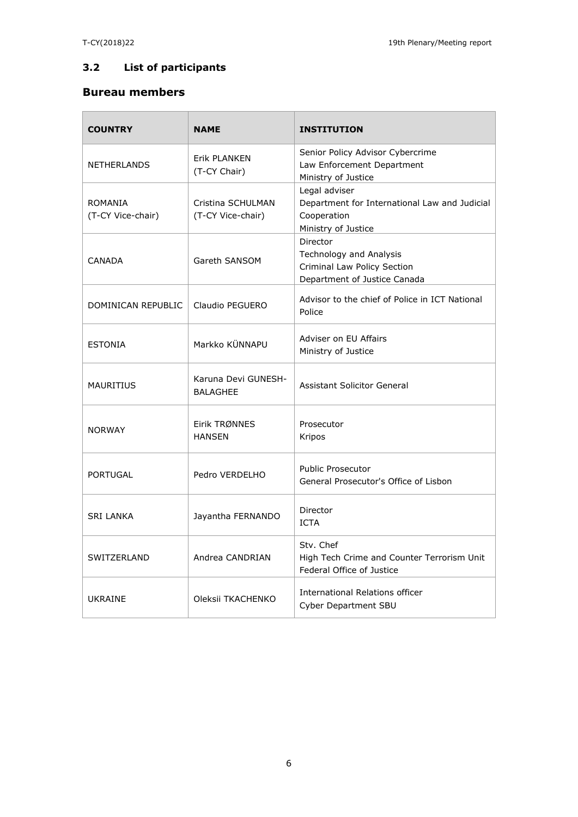## **3.2 List of participants**

## **Bureau members**

| <b>COUNTRY</b>               | <b>NAME</b>                            | <b>INSTITUTION</b>                                                                                   |
|------------------------------|----------------------------------------|------------------------------------------------------------------------------------------------------|
| <b>NETHERLANDS</b>           | Frik PI ANKFN<br>(T-CY Chair)          | Senior Policy Advisor Cybercrime<br>Law Enforcement Department<br>Ministry of Justice                |
| ROMANIA<br>(T-CY Vice-chair) | Cristina SCHULMAN<br>(T-CY Vice-chair) | Legal adviser<br>Department for International Law and Judicial<br>Cooperation<br>Ministry of Justice |
| <b>CANADA</b>                | Gareth SANSOM                          | Director<br>Technology and Analysis<br>Criminal Law Policy Section<br>Department of Justice Canada   |
| DOMINICAN REPUBLIC           | Claudio PEGUERO                        | Advisor to the chief of Police in ICT National<br>Police                                             |
| <b>ESTONIA</b>               | Markko KÜNNAPU                         | Adviser on EU Affairs<br>Ministry of Justice                                                         |
| <b>MAURITIUS</b>             | Karuna Devi GUNESH-<br><b>BALAGHEE</b> | Assistant Solicitor General                                                                          |
| <b>NORWAY</b>                | Eirik TRØNNES<br><b>HANSEN</b>         | Prosecutor<br>Kripos                                                                                 |
| <b>PORTUGAL</b>              | Pedro VERDELHO                         | Public Prosecutor<br>General Prosecutor's Office of Lisbon                                           |
| <b>SRI LANKA</b>             | Jayantha FERNANDO                      | Director<br><b>ICTA</b>                                                                              |
| SWITZERLAND                  | Andrea CANDRIAN                        | Stv. Chef<br>High Tech Crime and Counter Terrorism Unit<br>Federal Office of Justice                 |
| UKRAINE                      | Oleksii TKACHENKO                      | International Relations officer<br><b>Cyber Department SBU</b>                                       |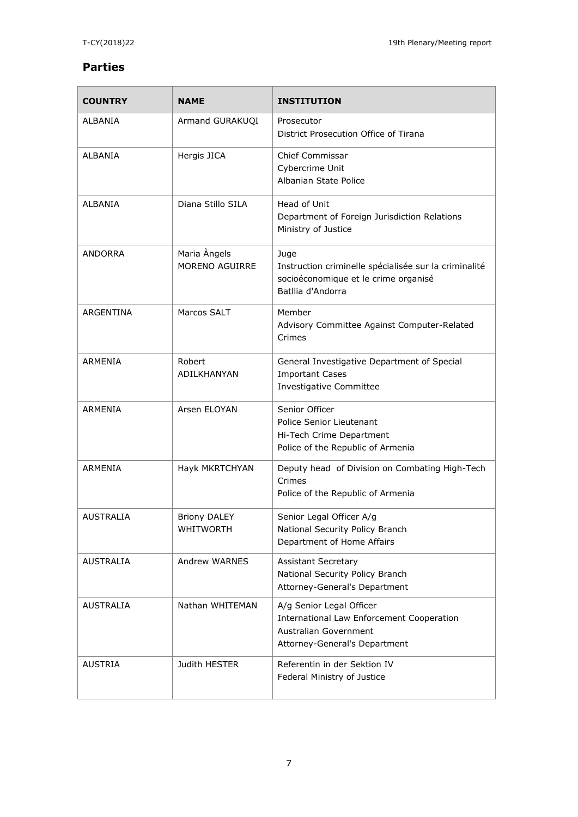## **Parties**

| <b>COUNTRY</b>   | <b>NAME</b>                             | <b>INSTITUTION</b>                                                                                                                     |
|------------------|-----------------------------------------|----------------------------------------------------------------------------------------------------------------------------------------|
| ALBANIA          | Armand GURAKUQI                         | Prosecutor<br>District Prosecution Office of Tirana                                                                                    |
| <b>ALBANIA</b>   | Hergis JICA                             | Chief Commissar<br>Cybercrime Unit<br>Albanian State Police                                                                            |
| <b>ALBANIA</b>   | Diana Stillo SILA                       | Head of Unit<br>Department of Foreign Jurisdiction Relations<br>Ministry of Justice                                                    |
| <b>ANDORRA</b>   | Maria Angels<br>MORENO AGUIRRE          | Juge<br>Instruction criminelle spécialisée sur la criminalité<br>socioéconomique et le crime organisé<br>Batllia d'Andorra             |
| ARGENTINA        | Marcos SALT                             | Member<br>Advisory Committee Against Computer-Related<br>Crimes                                                                        |
| ARMENIA          | Robert<br>ADILKHANYAN                   | General Investigative Department of Special<br><b>Important Cases</b><br><b>Investigative Committee</b>                                |
| <b>ARMENIA</b>   | Arsen ELOYAN                            | Senior Officer<br><b>Police Senior Lieutenant</b><br>Hi-Tech Crime Department<br>Police of the Republic of Armenia                     |
| ARMENIA          | Hayk MKRTCHYAN                          | Deputy head of Division on Combating High-Tech<br>Crimes<br>Police of the Republic of Armenia                                          |
| <b>AUSTRALIA</b> | <b>Briony DALEY</b><br><b>WHITWORTH</b> | Senior Legal Officer A/g<br>National Security Policy Branch<br>Department of Home Affairs                                              |
| <b>AUSTRALIA</b> | Andrew WARNES                           | <b>Assistant Secretary</b><br>National Security Policy Branch<br>Attorney-General's Department                                         |
| AUSTRALIA        | Nathan WHITEMAN                         | A/g Senior Legal Officer<br><b>International Law Enforcement Cooperation</b><br>Australian Government<br>Attorney-General's Department |
| <b>AUSTRIA</b>   | Judith HESTER                           | Referentin in der Sektion IV<br>Federal Ministry of Justice                                                                            |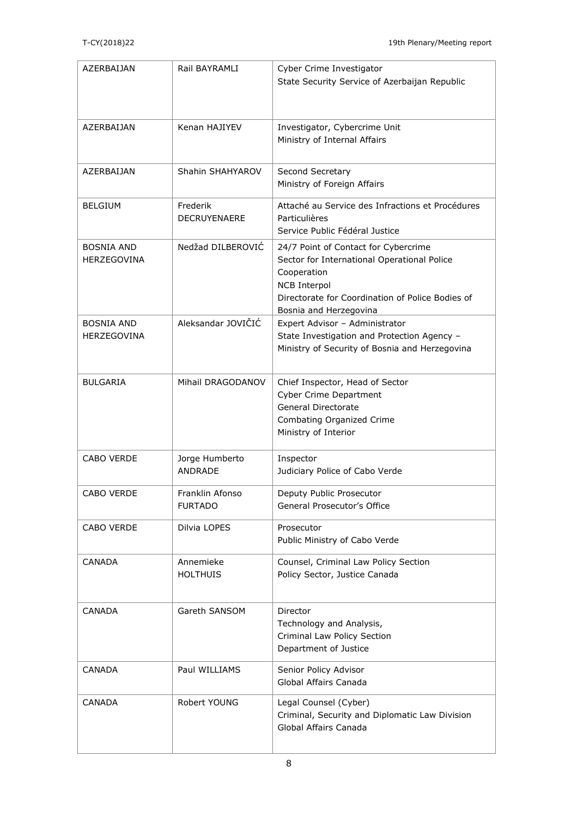| AZERBAIJAN                              | Rail BAYRAMLI                     | Cyber Crime Investigator                                                                                                                                                                                |
|-----------------------------------------|-----------------------------------|---------------------------------------------------------------------------------------------------------------------------------------------------------------------------------------------------------|
|                                         |                                   | State Security Service of Azerbaijan Republic                                                                                                                                                           |
| AZERBAIJAN                              | Kenan HAJIYEV                     | Investigator, Cybercrime Unit<br>Ministry of Internal Affairs                                                                                                                                           |
| AZERBAIJAN                              | Shahin SHAHYAROV                  | Second Secretary<br>Ministry of Foreign Affairs                                                                                                                                                         |
| <b>BELGIUM</b>                          | Frederik<br><b>DECRUYENAERE</b>   | Attaché au Service des Infractions et Procédures<br>Particulières<br>Service Public Fédéral Justice                                                                                                     |
| <b>BOSNIA AND</b><br><b>HERZEGOVINA</b> | Nedžad DII BEROVIĆ                | 24/7 Point of Contact for Cybercrime<br>Sector for International Operational Police<br>Cooperation<br><b>NCB Interpol</b><br>Directorate for Coordination of Police Bodies of<br>Bosnia and Herzegovina |
| <b>BOSNIA AND</b><br><b>HERZEGOVINA</b> | Aleksandar JOVIČIĆ                | Expert Advisor - Administrator<br>State Investigation and Protection Agency -<br>Ministry of Security of Bosnia and Herzegovina                                                                         |
| <b>BULGARIA</b>                         | Mihail DRAGODANOV                 | Chief Inspector, Head of Sector<br><b>Cyber Crime Department</b><br>General Directorate<br>Combating Organized Crime<br>Ministry of Interior                                                            |
| CABO VERDE                              | Jorge Humberto<br><b>ANDRADE</b>  | Inspector<br>Judiciary Police of Cabo Verde                                                                                                                                                             |
| CABO VERDE                              | Franklin Afonso<br><b>FURTADO</b> | Deputy Public Prosecutor<br>General Prosecutor's Office                                                                                                                                                 |
| CABO VERDE                              | Dilvia LOPES                      | Prosecutor<br>Public Ministry of Cabo Verde                                                                                                                                                             |
| <b>CANADA</b>                           | Annemieke<br><b>HOLTHUIS</b>      | Counsel, Criminal Law Policy Section<br>Policy Sector, Justice Canada                                                                                                                                   |
| <b>CANADA</b>                           | Gareth SANSOM                     | Director<br>Technology and Analysis,<br>Criminal Law Policy Section<br>Department of Justice                                                                                                            |
| <b>CANADA</b>                           | Paul WILLIAMS                     | Senior Policy Advisor<br>Global Affairs Canada                                                                                                                                                          |
| <b>CANADA</b>                           | Robert YOUNG                      | Legal Counsel (Cyber)<br>Criminal, Security and Diplomatic Law Division<br>Global Affairs Canada                                                                                                        |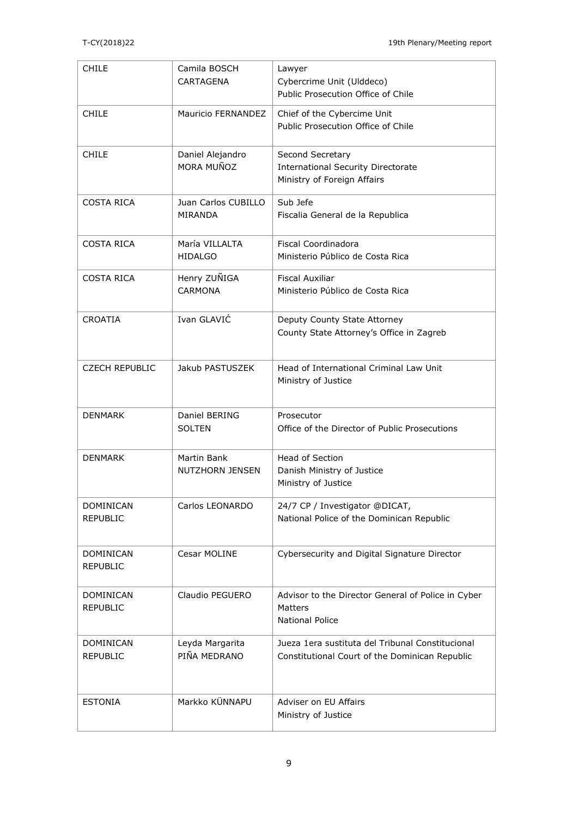| CHILE                               | Camila BOSCH<br><b>CARTAGENA</b>      | Lawyer<br>Cybercrime Unit (Ulddeco)<br>Public Prosecution Office of Chile                          |
|-------------------------------------|---------------------------------------|----------------------------------------------------------------------------------------------------|
| <b>CHILE</b>                        | Mauricio FERNANDEZ                    | Chief of the Cybercime Unit<br>Public Prosecution Office of Chile                                  |
| <b>CHILE</b>                        | Daniel Alejandro<br>MORA MUÑOZ        | Second Secretary<br><b>International Security Directorate</b><br>Ministry of Foreign Affairs       |
| <b>COSTA RICA</b>                   | Juan Carlos CUBILLO<br>MIRANDA        | Sub Jefe<br>Fiscalia General de la Republica                                                       |
| <b>COSTA RICA</b>                   | María VILLALTA<br><b>HIDALGO</b>      | Fiscal Coordinadora<br>Ministerio Público de Costa Rica                                            |
| COSTA RICA                          | Henry ZUÑIGA<br><b>CARMONA</b>        | <b>Fiscal Auxiliar</b><br>Ministerio Público de Costa Rica                                         |
| <b>CROATIA</b>                      | Ivan GLAVIĆ                           | Deputy County State Attorney<br>County State Attorney's Office in Zagreb                           |
| <b>CZECH REPUBLIC</b>               | Jakub PASTUSZEK                       | Head of International Criminal Law Unit<br>Ministry of Justice                                     |
| <b>DENMARK</b>                      | Daniel BERING<br><b>SOLTEN</b>        | Prosecutor<br>Office of the Director of Public Prosecutions                                        |
| <b>DENMARK</b>                      | Martin Bank<br><b>NUTZHORN JENSEN</b> | <b>Head of Section</b><br>Danish Ministry of Justice<br>Ministry of Justice                        |
| DOMINICAN<br><b>REPUBLIC</b>        | Carlos LEONARDO                       | 24/7 CP / Investigator @DICAT,<br>National Police of the Dominican Republic                        |
| <b>DOMINICAN</b><br><b>REPUBLIC</b> | Cesar MOLINE                          | Cybersecurity and Digital Signature Director                                                       |
| DOMINICAN<br><b>REPUBLIC</b>        | Claudio PEGUERO                       | Advisor to the Director General of Police in Cyber<br>Matters<br><b>National Police</b>            |
| DOMINICAN<br><b>REPUBLIC</b>        | Leyda Margarita<br>PIÑA MEDRANO       | Jueza 1era sustituta del Tribunal Constitucional<br>Constitutional Court of the Dominican Republic |
| <b>ESTONIA</b>                      | Markko KÜNNAPU                        | Adviser on EU Affairs<br>Ministry of Justice                                                       |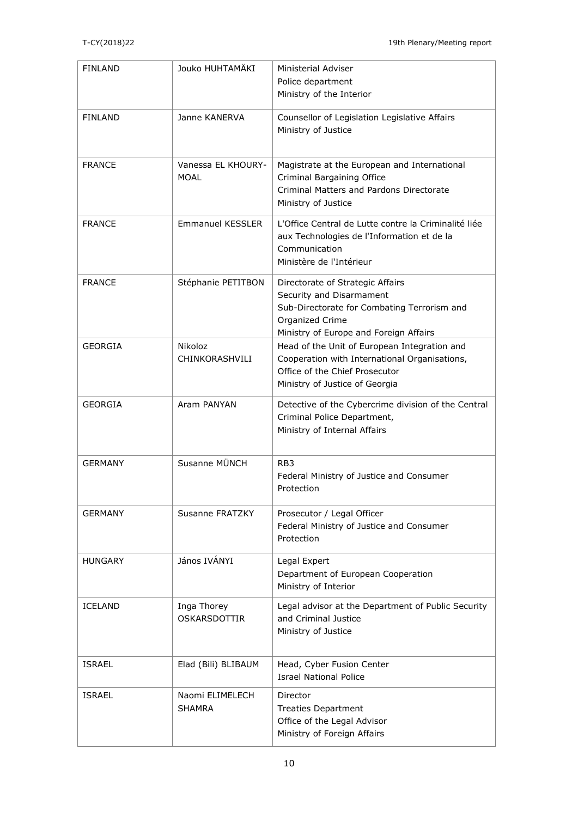| <b>FINLAND</b> | Jouko HUHTAMÄKI                    | Ministerial Adviser<br>Police department<br>Ministry of the Interior                                                                                                     |
|----------------|------------------------------------|--------------------------------------------------------------------------------------------------------------------------------------------------------------------------|
| <b>FINLAND</b> | Janne KANERVA                      | Counsellor of Legislation Legislative Affairs<br>Ministry of Justice                                                                                                     |
| <b>FRANCE</b>  | Vanessa EL KHOURY-<br>MOAL         | Magistrate at the European and International<br>Criminal Bargaining Office<br>Criminal Matters and Pardons Directorate<br>Ministry of Justice                            |
| <b>FRANCE</b>  | <b>Emmanuel KESSLER</b>            | L'Office Central de Lutte contre la Criminalité liée<br>aux Technologies de l'Information et de la<br>Communication<br>Ministère de l'Intérieur                          |
| <b>FRANCE</b>  | Stéphanie PETITBON                 | Directorate of Strategic Affairs<br>Security and Disarmament<br>Sub-Directorate for Combating Terrorism and<br>Organized Crime<br>Ministry of Europe and Foreign Affairs |
| <b>GEORGIA</b> | Nikoloz<br>CHINKORASHVILI          | Head of the Unit of European Integration and<br>Cooperation with International Organisations,<br>Office of the Chief Prosecutor<br>Ministry of Justice of Georgia        |
| <b>GEORGIA</b> | Aram PANYAN                        | Detective of the Cybercrime division of the Central<br>Criminal Police Department,<br>Ministry of Internal Affairs                                                       |
| <b>GERMANY</b> | Susanne MÜNCH                      | RB <sub>3</sub><br>Federal Ministry of Justice and Consumer<br>Protection                                                                                                |
| <b>GERMANY</b> | Susanne FRATZKY                    | Prosecutor / Legal Officer<br>Federal Ministry of Justice and Consumer<br>Protection                                                                                     |
| <b>HUNGARY</b> | János IVÁNYI                       | Legal Expert<br>Department of European Cooperation<br>Ministry of Interior                                                                                               |
| <b>ICELAND</b> | Inga Thorey<br><b>OSKARSDOTTIR</b> | Legal advisor at the Department of Public Security<br>and Criminal Justice<br>Ministry of Justice                                                                        |
| <b>ISRAEL</b>  | Elad (Bili) BLIBAUM                | Head, Cyber Fusion Center<br><b>Israel National Police</b>                                                                                                               |
| <b>ISRAEL</b>  | Naomi ELIMELECH<br><b>SHAMRA</b>   | Director<br><b>Treaties Department</b><br>Office of the Legal Advisor<br>Ministry of Foreign Affairs                                                                     |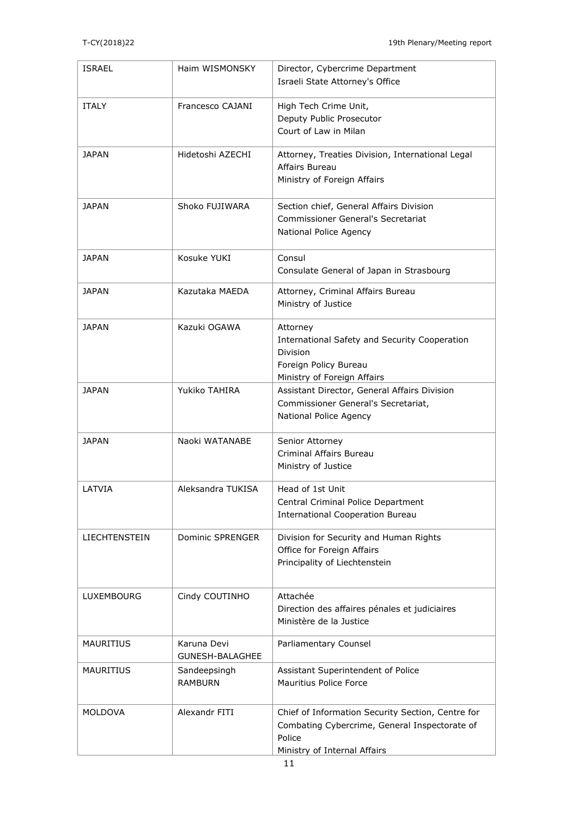| <b>ISRAEL</b>    | Haim WISMONSKY                        | Director, Cybercrime Department<br>Israeli State Attorney's Office                                                                           |
|------------------|---------------------------------------|----------------------------------------------------------------------------------------------------------------------------------------------|
| <b>ITALY</b>     | Francesco CAJANI                      | High Tech Crime Unit,<br>Deputy Public Prosecutor<br>Court of Law in Milan                                                                   |
| <b>JAPAN</b>     | Hidetoshi AZECHI                      | Attorney, Treaties Division, International Legal<br>Affairs Bureau<br>Ministry of Foreign Affairs                                            |
| <b>JAPAN</b>     | Shoko FUJIWARA                        | Section chief, General Affairs Division<br><b>Commissioner General's Secretariat</b><br>National Police Agency                               |
| JAPAN            | Kosuke YUKI                           | Consul<br>Consulate General of Japan in Strasbourg                                                                                           |
| <b>JAPAN</b>     | Kazutaka MAEDA                        | Attorney, Criminal Affairs Bureau<br>Ministry of Justice                                                                                     |
| <b>JAPAN</b>     | Kazuki OGAWA                          | Attorney<br>International Safety and Security Cooperation<br>Division<br>Foreign Policy Bureau<br>Ministry of Foreign Affairs                |
| JAPAN            | Yukiko TAHIRA                         | Assistant Director, General Affairs Division<br>Commissioner General's Secretariat,<br>National Police Agency                                |
| <b>JAPAN</b>     | Naoki WATANABE                        | Senior Attorney<br>Criminal Affairs Bureau<br>Ministry of Justice                                                                            |
| LATVIA           | Aleksandra TUKISA                     | Head of 1st Unit<br>Central Criminal Police Department<br><b>International Cooperation Bureau</b>                                            |
| LIECHTENSTEIN    | Dominic SPRENGER                      | Division for Security and Human Rights<br>Office for Foreign Affairs<br>Principality of Liechtenstein                                        |
| LUXEMBOURG       | Cindy COUTINHO                        | Attachée<br>Direction des affaires pénales et judiciaires<br>Ministère de la Justice                                                         |
| <b>MAURITIUS</b> | Karuna Devi<br><b>GUNESH-BALAGHEE</b> | Parliamentary Counsel                                                                                                                        |
| <b>MAURITIUS</b> | Sandeepsingh<br><b>RAMBURN</b>        | Assistant Superintendent of Police<br>Mauritius Police Force                                                                                 |
| <b>MOLDOVA</b>   | Alexandr FITI                         | Chief of Information Security Section, Centre for<br>Combating Cybercrime, General Inspectorate of<br>Police<br>Ministry of Internal Affairs |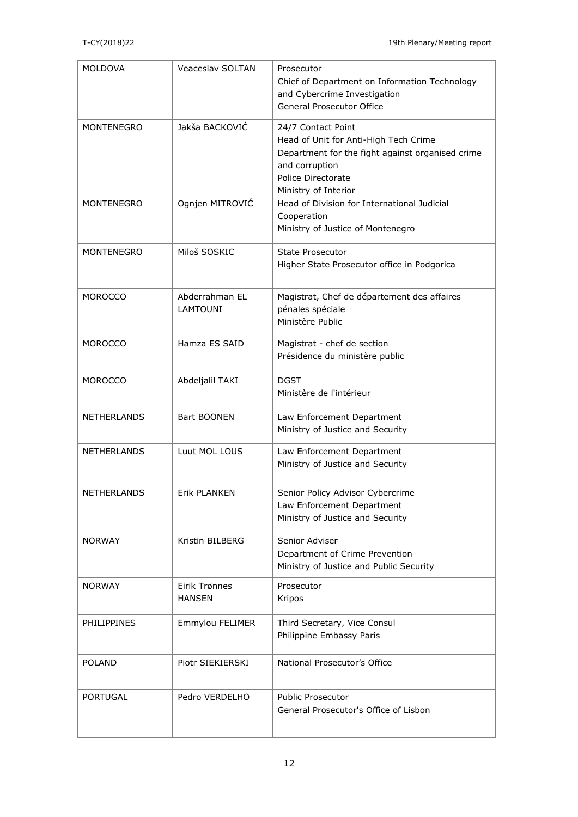| <b>MOLDOVA</b>     | <b>Veaceslav SOLTAN</b>           | Prosecutor<br>Chief of Department on Information Technology<br>and Cybercrime Investigation<br>General Prosecutor Office                                                        |
|--------------------|-----------------------------------|---------------------------------------------------------------------------------------------------------------------------------------------------------------------------------|
| <b>MONTENEGRO</b>  | Jakša BACKOVIĆ                    | 24/7 Contact Point<br>Head of Unit for Anti-High Tech Crime<br>Department for the fight against organised crime<br>and corruption<br>Police Directorate<br>Ministry of Interior |
| <b>MONTENEGRO</b>  | Ognjen MITROVIĆ                   | Head of Division for International Judicial<br>Cooperation<br>Ministry of Justice of Montenegro                                                                                 |
| <b>MONTENEGRO</b>  | Miloš SOSKIC                      | <b>State Prosecutor</b><br>Higher State Prosecutor office in Podgorica                                                                                                          |
| <b>MOROCCO</b>     | Abderrahman EL<br><b>LAMTOUNI</b> | Magistrat, Chef de département des affaires<br>pénales spéciale<br>Ministère Public                                                                                             |
| <b>MOROCCO</b>     | Hamza ES SAID                     | Magistrat - chef de section<br>Présidence du ministère public                                                                                                                   |
| <b>MOROCCO</b>     | Abdeljalil TAKI                   | <b>DGST</b><br>Ministère de l'intérieur                                                                                                                                         |
| NETHERLANDS        | Bart BOONEN                       | Law Enforcement Department<br>Ministry of Justice and Security                                                                                                                  |
| <b>NETHERLANDS</b> | Luut MOL LOUS                     | Law Enforcement Department<br>Ministry of Justice and Security                                                                                                                  |
| <b>NETHERLANDS</b> | Erik PLANKEN                      | Senior Policy Advisor Cybercrime<br>Law Enforcement Department<br>Ministry of Justice and Security                                                                              |
| <b>NORWAY</b>      | Kristin BILBERG                   | Senior Adviser<br>Department of Crime Prevention<br>Ministry of Justice and Public Security                                                                                     |
| <b>NORWAY</b>      | Eirik Trønnes<br><b>HANSEN</b>    | Prosecutor<br>Kripos                                                                                                                                                            |
| PHILIPPINES        | Emmylou FELIMER                   | Third Secretary, Vice Consul<br>Philippine Embassy Paris                                                                                                                        |
| <b>POLAND</b>      | Piotr SIEKIERSKI                  | National Prosecutor's Office                                                                                                                                                    |
| <b>PORTUGAL</b>    | Pedro VERDELHO                    | <b>Public Prosecutor</b><br>General Prosecutor's Office of Lisbon                                                                                                               |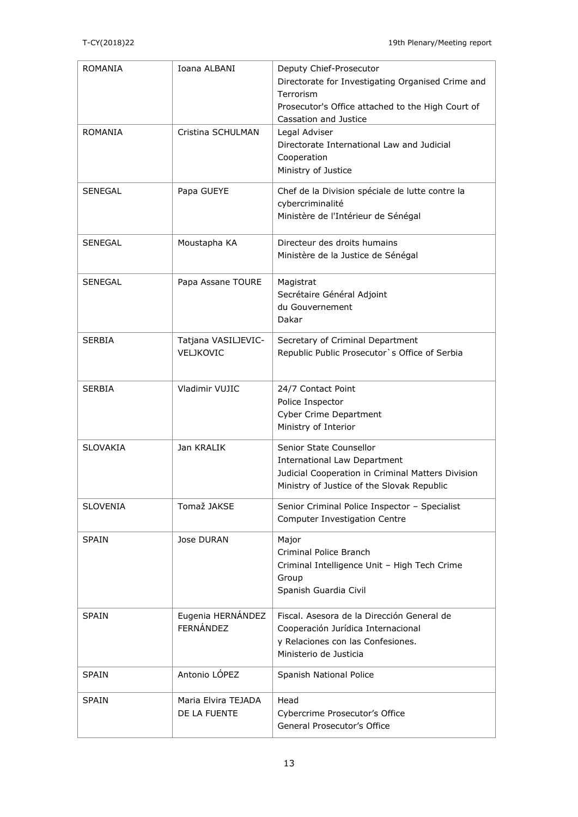| <b>ROMANIA</b>  | Ioana ALBANI        | Deputy Chief-Prosecutor                                     |
|-----------------|---------------------|-------------------------------------------------------------|
|                 |                     | Directorate for Investigating Organised Crime and           |
|                 |                     | Terrorism                                                   |
|                 |                     | Prosecutor's Office attached to the High Court of           |
| <b>ROMANIA</b>  | Cristina SCHULMAN   | Cassation and Justice                                       |
|                 |                     | Legal Adviser<br>Directorate International Law and Judicial |
|                 |                     | Cooperation                                                 |
|                 |                     | Ministry of Justice                                         |
| SENEGAL         | Papa GUEYE          | Chef de la Division spéciale de lutte contre la             |
|                 |                     | cybercriminalité                                            |
|                 |                     | Ministère de l'Intérieur de Sénégal                         |
|                 |                     |                                                             |
| <b>SENEGAL</b>  | Moustapha KA        | Directeur des droits humains                                |
|                 |                     | Ministère de la Justice de Sénégal                          |
| <b>SENEGAL</b>  | Papa Assane TOURE   | Magistrat                                                   |
|                 |                     | Secrétaire Général Adjoint                                  |
|                 |                     | du Gouvernement                                             |
|                 |                     | Dakar                                                       |
| <b>SERBIA</b>   | Tatjana VASILJEVIC- | Secretary of Criminal Department                            |
|                 | VELJKOVIC           | Republic Public Prosecutor's Office of Serbia               |
|                 |                     |                                                             |
| <b>SERBIA</b>   | Vladimir VUJIC      | 24/7 Contact Point                                          |
|                 |                     | Police Inspector                                            |
|                 |                     | <b>Cyber Crime Department</b>                               |
|                 |                     | Ministry of Interior                                        |
| <b>SLOVAKIA</b> | Jan KRALIK          | Senior State Counsellor                                     |
|                 |                     | <b>International Law Department</b>                         |
|                 |                     | Judicial Cooperation in Criminal Matters Division           |
|                 |                     | Ministry of Justice of the Slovak Republic                  |
| <b>SLOVENIA</b> | Tomaž JAKSE         | Senior Criminal Police Inspector - Specialist               |
|                 |                     | <b>Computer Investigation Centre</b>                        |
| <b>SPAIN</b>    | Jose DURAN          | Major                                                       |
|                 |                     | Criminal Police Branch                                      |
|                 |                     | Criminal Intelligence Unit - High Tech Crime                |
|                 |                     | Group                                                       |
|                 |                     | Spanish Guardia Civil                                       |
| <b>SPAIN</b>    | Eugenia HERNÁNDEZ   | Fiscal, Asesora de la Dirección General de                  |
|                 | FERNÁNDEZ           | Cooperación Jurídica Internacional                          |
|                 |                     | y Relaciones con las Confesiones.                           |
|                 |                     | Ministerio de Justicia                                      |
| <b>SPAIN</b>    | Antonio LÓPEZ       | Spanish National Police                                     |
| <b>SPAIN</b>    | Maria Elvira TEJADA | Head                                                        |
|                 | DE LA FUENTE        | Cybercrime Prosecutor's Office                              |
|                 |                     | General Prosecutor's Office                                 |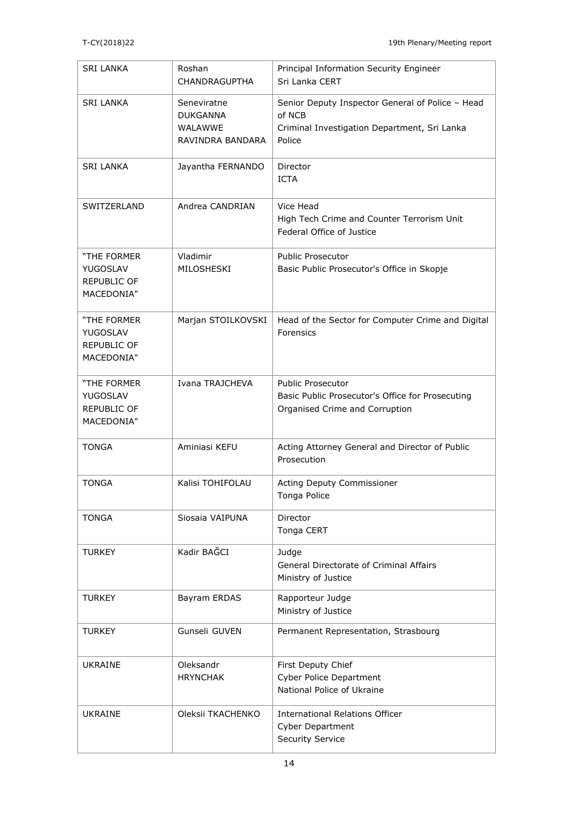| <b>SRI LANKA</b>                                                   | Roshan<br><b>CHANDRAGUPTHA</b>                                       | Principal Information Security Engineer<br>Sri Lanka CERT                                                            |
|--------------------------------------------------------------------|----------------------------------------------------------------------|----------------------------------------------------------------------------------------------------------------------|
| <b>SRI LANKA</b>                                                   | Seneviratne<br><b>DUKGANNA</b><br><b>WALAWWE</b><br>RAVINDRA BANDARA | Senior Deputy Inspector General of Police - Head<br>of NCB<br>Criminal Investigation Department, Sri Lanka<br>Police |
| <b>SRI LANKA</b>                                                   | Jayantha FERNANDO                                                    | Director<br><b>ICTA</b>                                                                                              |
| SWITZERLAND                                                        | Andrea CANDRIAN                                                      | Vice Head<br>High Tech Crime and Counter Terrorism Unit<br>Federal Office of Justice                                 |
| "THE FORMER<br><b>YUGOSLAV</b><br><b>REPUBLIC OF</b><br>MACEDONIA" | Vladimir<br>MILOSHESKI                                               | <b>Public Prosecutor</b><br>Basic Public Prosecutor's Office in Skopje                                               |
| "THE FORMER<br><b>YUGOSLAV</b><br><b>REPUBLIC OF</b><br>MACEDONIA" | Marjan STOILKOVSKI                                                   | Head of the Sector for Computer Crime and Digital<br>Forensics                                                       |
| "THE FORMER<br><b>YUGOSLAV</b><br>REPUBLIC OF<br>MACEDONIA"        | Ivana TRAJCHEVA                                                      | <b>Public Prosecutor</b><br>Basic Public Prosecutor's Office for Prosecuting<br>Organised Crime and Corruption       |
| <b>TONGA</b>                                                       | Aminiasi KEFU                                                        | Acting Attorney General and Director of Public<br>Prosecution                                                        |
| <b>TONGA</b>                                                       | Kalisi TOHIFOLAU                                                     | Acting Deputy Commissioner<br>Tonga Police                                                                           |
| <b>TONGA</b>                                                       | Siosaia VAIPUNA                                                      | Director<br>Tonga CERT                                                                                               |
| TURKEY                                                             | Kadir BAĞCI                                                          | Judge<br>General Directorate of Criminal Affairs<br>Ministry of Justice                                              |
| <b>TURKEY</b>                                                      | Bayram ERDAS                                                         | Rapporteur Judge<br>Ministry of Justice                                                                              |
| <b>TURKEY</b>                                                      | Gunseli GUVEN                                                        | Permanent Representation, Strasbourg                                                                                 |
| <b>UKRAINE</b>                                                     | Oleksandr<br><b>HRYNCHAK</b>                                         | First Deputy Chief<br><b>Cyber Police Department</b><br>National Police of Ukraine                                   |
| <b>UKRAINE</b>                                                     | Oleksii TKACHENKO                                                    | <b>International Relations Officer</b><br><b>Cyber Department</b><br><b>Security Service</b>                         |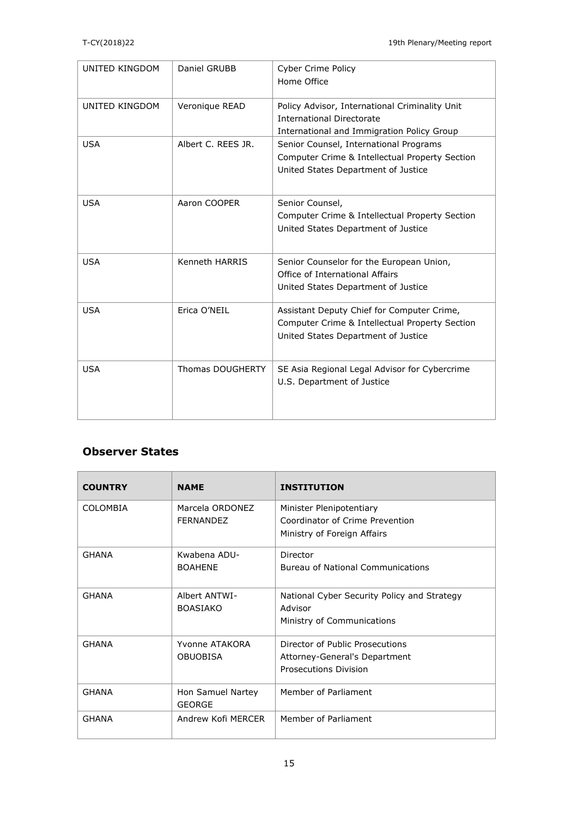| UNITED KINGDOM | Daniel GRUBB       | Cyber Crime Policy<br>Home Office                                                                                                   |
|----------------|--------------------|-------------------------------------------------------------------------------------------------------------------------------------|
| UNITED KINGDOM | Veronique READ     | Policy Advisor, International Criminality Unit<br><b>International Directorate</b><br>International and Immigration Policy Group    |
| <b>USA</b>     | Albert C. REES JR. | Senior Counsel, International Programs<br>Computer Crime & Intellectual Property Section<br>United States Department of Justice     |
| <b>USA</b>     | Aaron COOPER       | Senior Counsel,<br>Computer Crime & Intellectual Property Section<br>United States Department of Justice                            |
| <b>USA</b>     | Kenneth HARRIS     | Senior Counselor for the European Union,<br>Office of International Affairs<br>United States Department of Justice                  |
| <b>USA</b>     | Erica O'NEIL       | Assistant Deputy Chief for Computer Crime,<br>Computer Crime & Intellectual Property Section<br>United States Department of Justice |
| <b>USA</b>     | Thomas DOUGHERTY   | SE Asia Regional Legal Advisor for Cybercrime<br>U.S. Department of Justice                                                         |

## **Observer States**

| <b>COUNTRY</b> | <b>NAME</b>                         | <b>INSTITUTION</b>                                                                         |
|----------------|-------------------------------------|--------------------------------------------------------------------------------------------|
| COLOMBIA       | Marcela ORDONEZ<br><b>FERNANDEZ</b> | Minister Plenipotentiary<br>Coordinator of Crime Prevention<br>Ministry of Foreign Affairs |
| <b>GHANA</b>   | Kwabena ADU-<br><b>BOAHENE</b>      | Director<br>Bureau of National Communications                                              |
| <b>GHANA</b>   | Albert ANTWI-<br><b>BOASIAKO</b>    | National Cyber Security Policy and Strategy<br>Advisor<br>Ministry of Communications       |
| <b>GHANA</b>   | Yvonne ATAKORA<br><b>OBUOBISA</b>   | Director of Public Prosecutions<br>Attorney-General's Department<br>Prosecutions Division  |
| <b>GHANA</b>   | Hon Samuel Nartey<br><b>GEORGE</b>  | Member of Parliament                                                                       |
| <b>GHANA</b>   | Andrew Kofi MFRCFR                  | Member of Parliament                                                                       |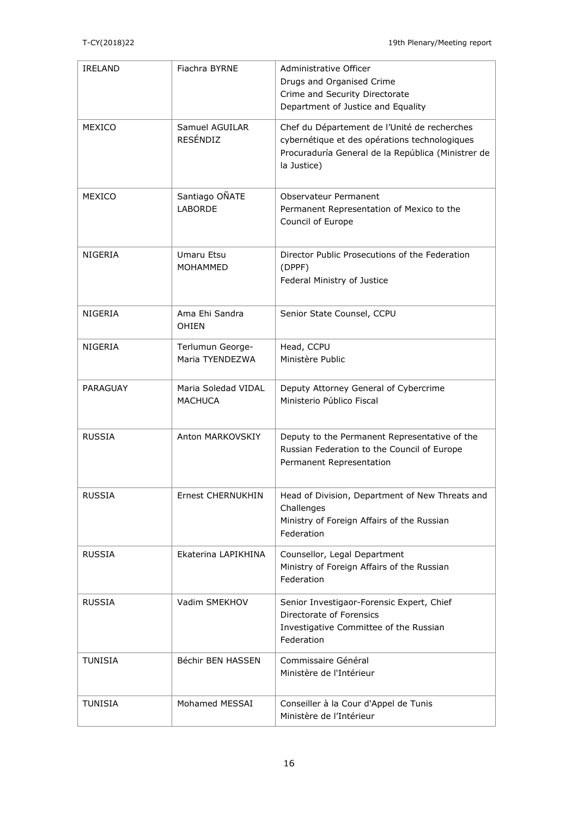| <b>IRELAND</b>  | Fiachra BYRNE                         | Administrative Officer<br>Drugs and Organised Crime<br>Crime and Security Directorate<br>Department of Justice and Equality                                        |
|-----------------|---------------------------------------|--------------------------------------------------------------------------------------------------------------------------------------------------------------------|
| MEXICO          | Samuel AGUILAR<br><b>RESÉNDIZ</b>     | Chef du Département de l'Unité de recherches<br>cybernétique et des opérations technologiques<br>Procuraduría General de la República (Ministrer de<br>la Justice) |
| MEXICO          | Santiago OÑATE<br><b>LABORDE</b>      | Observateur Permanent<br>Permanent Representation of Mexico to the<br>Council of Europe                                                                            |
| <b>NIGERIA</b>  | Umaru Etsu<br><b>MOHAMMED</b>         | Director Public Prosecutions of the Federation<br>(DPPF)<br>Federal Ministry of Justice                                                                            |
| NIGERIA         | Ama Ehi Sandra<br><b>OHIEN</b>        | Senior State Counsel, CCPU                                                                                                                                         |
| <b>NIGERIA</b>  | Terlumun George-<br>Maria TYENDEZWA   | Head, CCPU<br>Ministère Public                                                                                                                                     |
| <b>PARAGUAY</b> | Maria Soledad VIDAL<br><b>MACHUCA</b> | Deputy Attorney General of Cybercrime<br>Ministerio Público Fiscal                                                                                                 |
| <b>RUSSIA</b>   | Anton MARKOVSKIY                      | Deputy to the Permanent Representative of the<br>Russian Federation to the Council of Europe<br>Permanent Representation                                           |
| <b>RUSSIA</b>   | <b>Ernest CHERNUKHIN</b>              | Head of Division, Department of New Threats and<br>Challenges<br>Ministry of Foreign Affairs of the Russian<br>Federation                                          |
| <b>RUSSIA</b>   | Ekaterina LAPIKHINA                   | Counsellor, Legal Department<br>Ministry of Foreign Affairs of the Russian<br>Federation                                                                           |
| <b>RUSSIA</b>   | Vadim SMEKHOV                         | Senior Investigaor-Forensic Expert, Chief<br>Directorate of Forensics<br>Investigative Committee of the Russian<br>Federation                                      |
| <b>TUNISIA</b>  | Béchir BEN HASSEN                     | Commissaire Général<br>Ministère de l'Intérieur                                                                                                                    |
| <b>TUNISIA</b>  | Mohamed MESSAI                        | Conseiller à la Cour d'Appel de Tunis<br>Ministère de l'Intérieur                                                                                                  |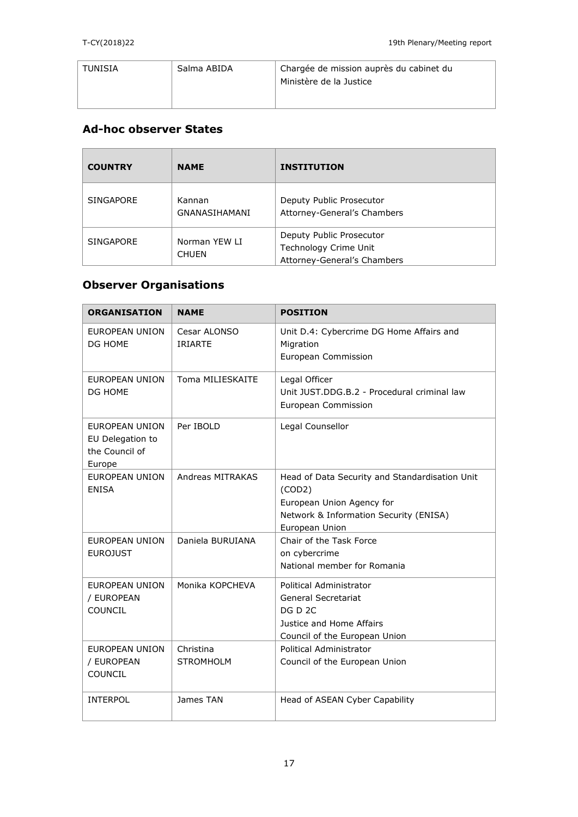| TUNISIA | Salma ABIDA | Chargée de mission auprès du cabinet du<br>Ministère de la Justice |
|---------|-------------|--------------------------------------------------------------------|
|---------|-------------|--------------------------------------------------------------------|

## **Ad-hoc observer States**

| <b>COUNTRY</b>   | <b>NAME</b>                    | <b>INSTITUTION</b>                                                               |
|------------------|--------------------------------|----------------------------------------------------------------------------------|
| <b>SINGAPORE</b> | Kannan<br><b>GNANASIHAMANI</b> | Deputy Public Prosecutor<br>Attorney-General's Chambers                          |
| <b>SINGAPORE</b> | Norman YEW LI<br><b>CHUEN</b>  | Deputy Public Prosecutor<br>Technology Crime Unit<br>Attorney-General's Chambers |

# **Observer Organisations**

| ORGANISATION                                                          | <b>NAME</b>                    | <b>POSITION</b>                                                                                                                                   |
|-----------------------------------------------------------------------|--------------------------------|---------------------------------------------------------------------------------------------------------------------------------------------------|
| <b>EUROPEAN UNION</b><br>DG HOME                                      | Cesar ALONSO<br><b>IRIARTE</b> | Unit D.4: Cybercrime DG Home Affairs and<br>Migration<br>European Commission                                                                      |
| <b>EUROPEAN UNION</b><br>DG HOME                                      | Toma MILIESKAITE               | Legal Officer<br>Unit JUST.DDG.B.2 - Procedural criminal law<br>European Commission                                                               |
| <b>EUROPEAN UNION</b><br>EU Delegation to<br>the Council of<br>Europe | Per IBOLD                      | Legal Counsellor                                                                                                                                  |
| <b>EUROPEAN UNION</b><br><b>ENISA</b>                                 | Andreas MITRAKAS               | Head of Data Security and Standardisation Unit<br>(COD2)<br>European Union Agency for<br>Network & Information Security (ENISA)<br>European Union |
| EUROPEAN UNION<br><b>EUROJUST</b>                                     | Daniela BURUIANA               | Chair of the Task Force<br>on cybercrime<br>National member for Romania                                                                           |
| <b>EUROPEAN UNION</b><br>/ EUROPEAN<br><b>COUNCIL</b>                 | Monika KOPCHEVA                | Political Administrator<br>General Secretariat<br>DG D 2C<br>Justice and Home Affairs<br>Council of the European Union                            |
| <b>EUROPEAN UNION</b><br>/ EUROPEAN<br>COUNCIL                        | Christina<br><b>STROMHOLM</b>  | Political Administrator<br>Council of the European Union                                                                                          |
| <b>INTERPOL</b>                                                       | James TAN                      | Head of ASEAN Cyber Capability                                                                                                                    |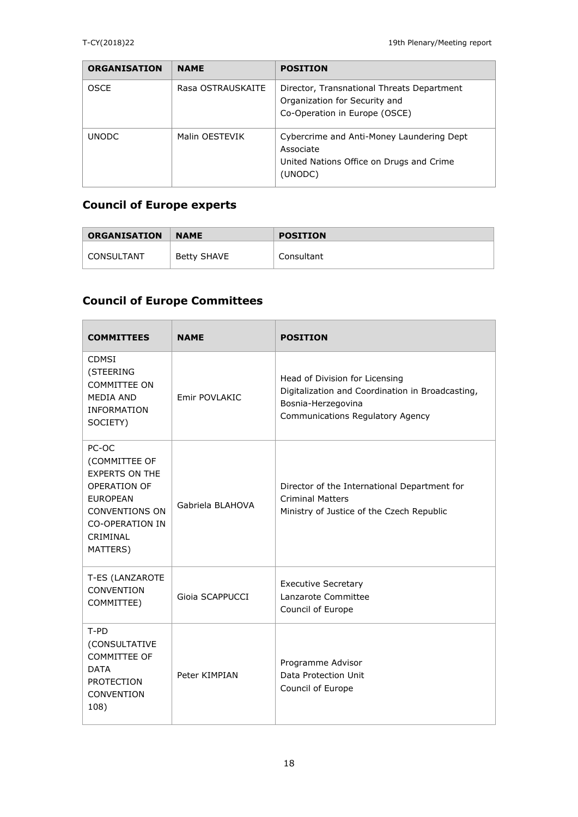| <b>ORGANISATION</b> | <b>NAME</b>       | <b>POSITION</b>                                                                                               |
|---------------------|-------------------|---------------------------------------------------------------------------------------------------------------|
| <b>OSCE</b>         | Rasa OSTRAUSKAITE | Director, Transnational Threats Department<br>Organization for Security and<br>Co-Operation in Europe (OSCE)  |
| <b>UNODC</b>        | Malin OESTEVIK    | Cybercrime and Anti-Money Laundering Dept<br>Associate<br>United Nations Office on Drugs and Crime<br>(UNODC) |

# **Council of Europe experts**

| <b>ORGANISATION</b> | <b>NAME</b> | <b>POSITION</b> |
|---------------------|-------------|-----------------|
| CONSULTANT          | Betty SHAVE | Consultant      |

# **Council of Europe Committees**

| <b>COMMITTEES</b>                                                                                                                                                    | <b>NAME</b>      | <b>POSITION</b>                                                                                                                              |
|----------------------------------------------------------------------------------------------------------------------------------------------------------------------|------------------|----------------------------------------------------------------------------------------------------------------------------------------------|
| <b>CDMSI</b><br>(STEERING<br><b>COMMITTEE ON</b><br><b>MEDIA AND</b><br><b>INFORMATION</b><br>SOCIETY)                                                               | Emir POVLAKIC    | Head of Division for Licensing<br>Digitalization and Coordination in Broadcasting,<br>Bosnia-Herzegovina<br>Communications Regulatory Agency |
| PC-OC<br>(COMMITTEE OF<br><b>EXPERTS ON THE</b><br><b>OPERATION OF</b><br><b>EUROPEAN</b><br><b>CONVENTIONS ON</b><br><b>CO-OPERATION IN</b><br>CRIMINAL<br>MATTERS) | Gabriela BLAHOVA | Director of the International Department for<br><b>Criminal Matters</b><br>Ministry of Justice of the Czech Republic                         |
| T-ES (LANZAROTE<br>CONVENTION<br>COMMITTEE)                                                                                                                          | Gioia SCAPPUCCI  | <b>Executive Secretary</b><br>Lanzarote Committee<br>Council of Europe                                                                       |
| $T-PD$<br>(CONSULTATIVE<br><b>COMMITTEE OF</b><br><b>DATA</b><br><b>PROTECTION</b><br>CONVENTION<br>108)                                                             | Peter KIMPIAN    | Programme Advisor<br>Data Protection Unit<br>Council of Europe                                                                               |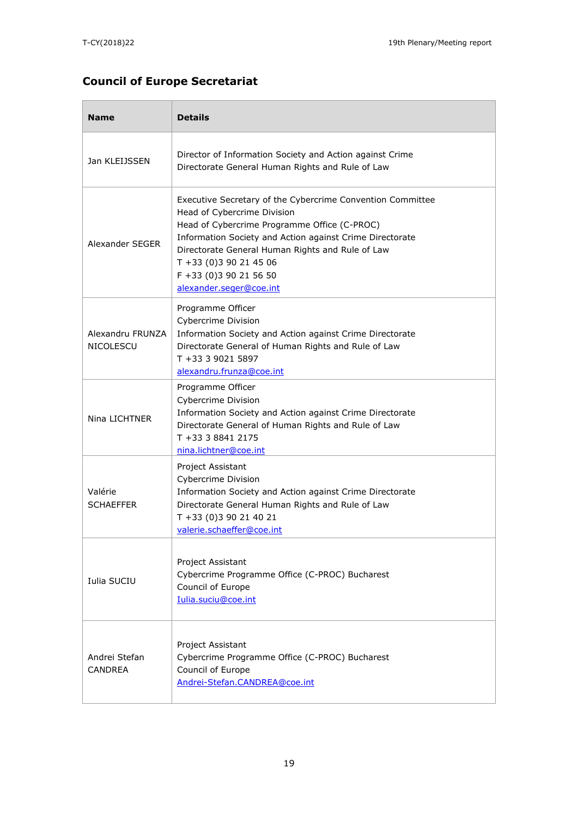# **Council of Europe Secretariat**

| <b>Name</b>                          | <b>Details</b>                                                                                                                                                                                                                                                                                                                         |  |  |
|--------------------------------------|----------------------------------------------------------------------------------------------------------------------------------------------------------------------------------------------------------------------------------------------------------------------------------------------------------------------------------------|--|--|
| Jan KLEIJSSEN                        | Director of Information Society and Action against Crime<br>Directorate General Human Rights and Rule of Law                                                                                                                                                                                                                           |  |  |
| Alexander SEGER                      | Executive Secretary of the Cybercrime Convention Committee<br>Head of Cybercrime Division<br>Head of Cybercrime Programme Office (C-PROC)<br>Information Society and Action against Crime Directorate<br>Directorate General Human Rights and Rule of Law<br>$T + 33(0)390214506$<br>F +33 (0)3 90 21 56 50<br>alexander.seger@coe.int |  |  |
| Alexandru FRUNZA<br><b>NICOLESCU</b> | Programme Officer<br>Cybercrime Division<br>Information Society and Action against Crime Directorate<br>Directorate General of Human Rights and Rule of Law<br>T +33 3 9021 5897<br>alexandru.frunza@coe.int                                                                                                                           |  |  |
| Nina LICHTNER                        | Programme Officer<br>Cybercrime Division<br>Information Society and Action against Crime Directorate<br>Directorate General of Human Rights and Rule of Law<br>T +33 3 8841 2175<br>nina.lichtner@coe.int                                                                                                                              |  |  |
| Valérie<br><b>SCHAEFFER</b>          | Project Assistant<br>Cybercrime Division<br>Information Society and Action against Crime Directorate<br>Directorate General Human Rights and Rule of Law<br>T +33 (0)3 90 21 40 21<br>valerie.schaeffer@coe.int                                                                                                                        |  |  |
| Iulia SUCIU                          | Project Assistant<br>Cybercrime Programme Office (C-PROC) Bucharest<br>Council of Europe<br>Iulia.suciu@coe.int                                                                                                                                                                                                                        |  |  |
| Andrei Stefan<br><b>CANDREA</b>      | Project Assistant<br>Cybercrime Programme Office (C-PROC) Bucharest<br>Council of Europe<br>Andrei-Stefan.CANDREA@coe.int                                                                                                                                                                                                              |  |  |